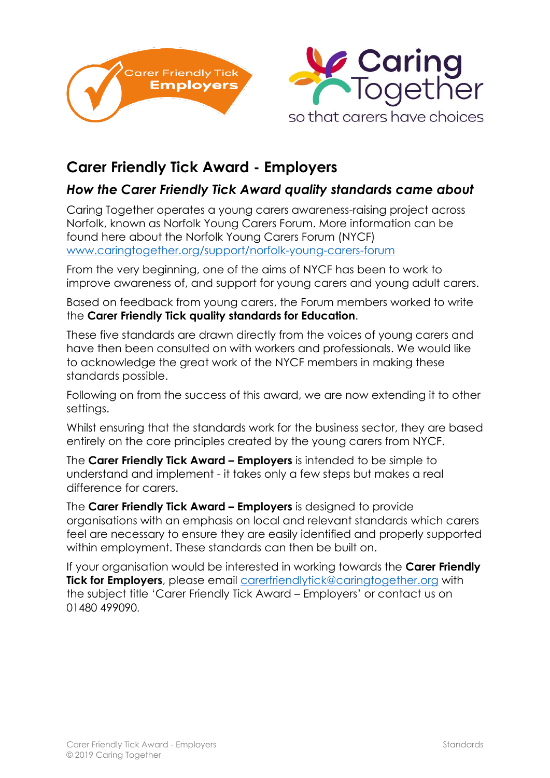



## **Carer Friendly Tick Award - Employers**

## *How the Carer Friendly Tick Award quality standards came about*

Caring Together operates a young carers awareness-raising project across Norfolk, known as Norfolk Young Carers Forum. More information can be found here about the Norfolk Young Carers Forum (NYCF) [www.caringtogether.org/support/norfolk-young-carers-forum](http://www.caringtogether.org/support/norfolk-young-carers-forum)

From the very beginning, one of the aims of NYCF has been to work to improve awareness of, and support for young carers and young adult carers.

Based on feedback from young carers, the Forum members worked to write the **Carer Friendly Tick quality standards for Education**.

These five standards are drawn directly from the voices of young carers and have then been consulted on with workers and professionals. We would like to acknowledge the great work of the NYCF members in making these standards possible.

Following on from the success of this award, we are now extending it to other settings.

Whilst ensuring that the standards work for the business sector, they are based entirely on the core principles created by the young carers from NYCF.

The **Carer Friendly Tick Award – Employers** is intended to be simple to understand and implement - it takes only a few steps but makes a real difference for carers.

The **Carer Friendly Tick Award – Employers** is designed to provide organisations with an emphasis on local and relevant standards which carers feel are necessary to ensure they are easily identified and properly supported within employment. These standards can then be built on.

If your organisation would be interested in working towards the **Carer Friendly Tick for Employers**, please email [carerfriendlytick@caringtogether.org](mailto:carerfriendlytick@caringtogether.org) with the subject title 'Carer Friendly Tick Award – Employers' or contact us on 01480 499090.